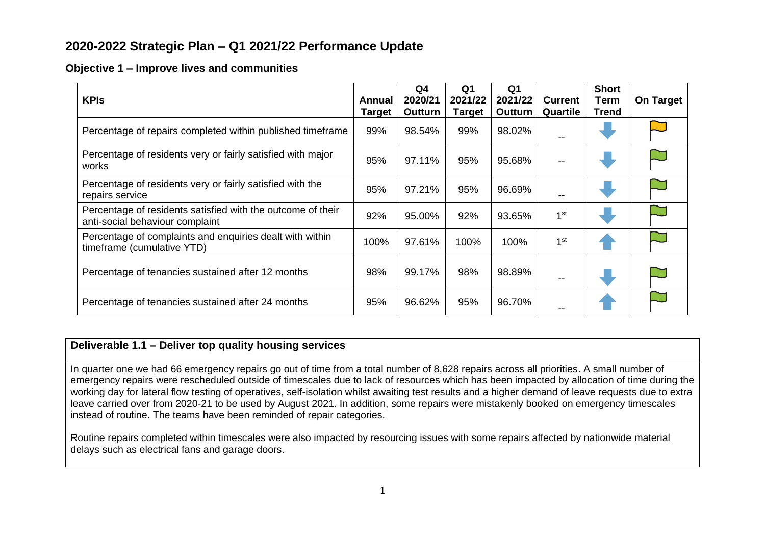# **2020-2022 Strategic Plan – Q1 2021/22 Performance Update**

### **Objective 1 – Improve lives and communities**

| <b>KPIs</b>                                                                                    | Annual<br>Target | Q4<br>2020/21<br>Outturn | Q <sub>1</sub><br>2021/22<br><b>Target</b> | Q <sub>1</sub><br>2021/22<br>Outturn | <b>Current</b><br>Quartile | <b>Short</b><br>Term<br><b>Trend</b> | <b>On Target</b> |
|------------------------------------------------------------------------------------------------|------------------|--------------------------|--------------------------------------------|--------------------------------------|----------------------------|--------------------------------------|------------------|
| Percentage of repairs completed within published timeframe                                     | 99%              | 98.54%                   | 99%                                        | 98.02%                               | --                         |                                      |                  |
| Percentage of residents very or fairly satisfied with major<br>works                           |                  | 97.11%                   | 95%                                        | 95.68%                               | --                         |                                      |                  |
| Percentage of residents very or fairly satisfied with the<br>repairs service                   |                  | 97.21%                   | 95%                                        | 96.69%                               | --                         |                                      |                  |
| Percentage of residents satisfied with the outcome of their<br>anti-social behaviour complaint |                  | 95.00%                   | 92%                                        | 93.65%                               | 1 <sup>st</sup>            |                                      |                  |
| Percentage of complaints and enquiries dealt with within<br>timeframe (cumulative YTD)         |                  | 97.61%                   | 100%                                       | 100%                                 | 1 <sup>st</sup>            |                                      |                  |
| Percentage of tenancies sustained after 12 months                                              |                  | 99.17%                   | 98%                                        | 98.89%                               |                            |                                      |                  |
| Percentage of tenancies sustained after 24 months                                              | 95%              | 96.62%                   | 95%                                        | 96.70%                               |                            |                                      |                  |

# **Deliverable 1.1 – Deliver top quality housing services**

In quarter one we had 66 emergency repairs go out of time from a total number of 8,628 repairs across all priorities. A small number of emergency repairs were rescheduled outside of timescales due to lack of resources which has been impacted by allocation of time during the working day for lateral flow testing of operatives, self-isolation whilst awaiting test results and a higher demand of leave requests due to extra leave carried over from 2020-21 to be used by August 2021. In addition, some repairs were mistakenly booked on emergency timescales instead of routine. The teams have been reminded of repair categories.

Routine repairs completed within timescales were also impacted by resourcing issues with some repairs affected by nationwide material delays such as electrical fans and garage doors.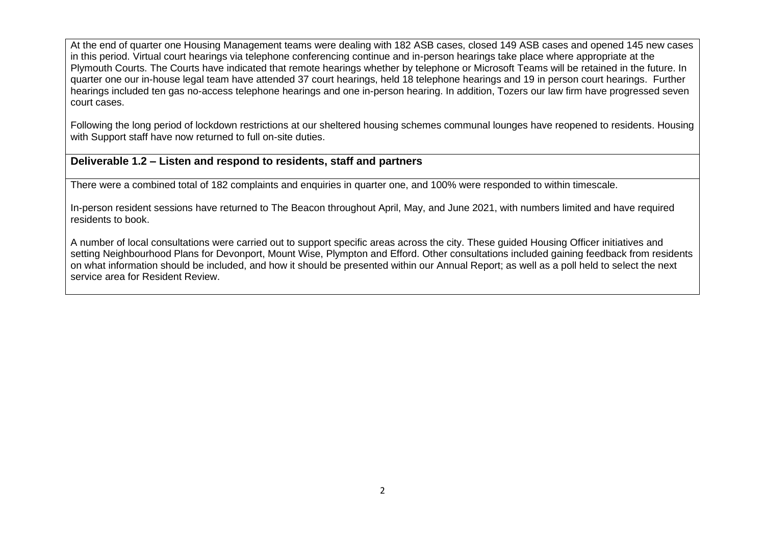At the end of quarter one Housing Management teams were dealing with 182 ASB cases, closed 149 ASB cases and opened 145 new cases in this period. Virtual court hearings via telephone conferencing continue and in-person hearings take place where appropriate at the Plymouth Courts. The Courts have indicated that remote hearings whether by telephone or Microsoft Teams will be retained in the future. In quarter one our in-house legal team have attended 37 court hearings, held 18 telephone hearings and 19 in person court hearings. Further hearings included ten gas no-access telephone hearings and one in-person hearing. In addition, Tozers our law firm have progressed seven court cases.

Following the long period of lockdown restrictions at our sheltered housing schemes communal lounges have reopened to residents. Housing with Support staff have now returned to full on-site duties.

## **Deliverable 1.2 – Listen and respond to residents, staff and partners**

There were a combined total of 182 complaints and enquiries in quarter one, and 100% were responded to within timescale.

In-person resident sessions have returned to The Beacon throughout April, May, and June 2021, with numbers limited and have required residents to book.

A number of local consultations were carried out to support specific areas across the city. These guided Housing Officer initiatives and setting Neighbourhood Plans for Devonport, Mount Wise, Plympton and Efford. Other consultations included gaining feedback from residents on what information should be included, and how it should be presented within our Annual Report; as well as a poll held to select the next service area for Resident Review.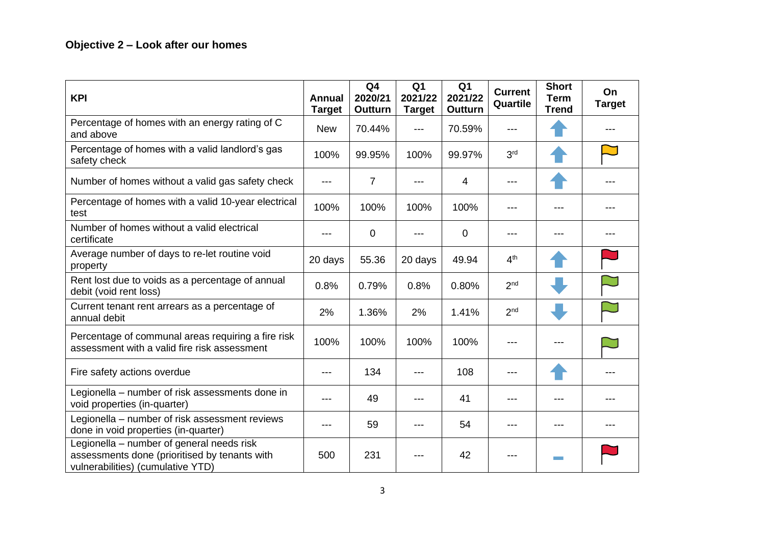| <b>KPI</b>                                                                                                                      | Annual<br><b>Target</b> | Q <sub>4</sub><br>2020/21<br><b>Outturn</b> | Q <sub>1</sub><br>2021/22<br><b>Target</b> | Q <sub>1</sub><br>2021/22<br>Outturn | <b>Current</b><br>Quartile | <b>Short</b><br><b>Term</b><br><b>Trend</b> | On<br><b>Target</b> |
|---------------------------------------------------------------------------------------------------------------------------------|-------------------------|---------------------------------------------|--------------------------------------------|--------------------------------------|----------------------------|---------------------------------------------|---------------------|
| Percentage of homes with an energy rating of C<br>and above                                                                     | <b>New</b>              | 70.44%                                      | ---                                        | 70.59%                               | ---                        |                                             |                     |
| Percentage of homes with a valid landlord's gas<br>safety check                                                                 | 100%                    | 99.95%                                      | 100%                                       | 99.97%                               | 3 <sup>rd</sup>            |                                             |                     |
| Number of homes without a valid gas safety check                                                                                | ---                     | 7                                           | ---                                        | 4                                    | ---                        |                                             |                     |
| Percentage of homes with a valid 10-year electrical<br>test                                                                     | 100%                    | 100%                                        | 100%                                       | 100%                                 | ---                        | ---                                         |                     |
| Number of homes without a valid electrical<br>certificate                                                                       | ---                     | 0                                           |                                            | 0                                    | ---                        | ---                                         |                     |
| Average number of days to re-let routine void<br>property                                                                       | 20 days                 | 55.36                                       | 20 days                                    | 49.94                                | 4 <sup>th</sup>            |                                             |                     |
| Rent lost due to voids as a percentage of annual<br>debit (void rent loss)                                                      | 0.8%                    | 0.79%                                       | 0.8%                                       | 0.80%                                | 2 <sub>nd</sub>            |                                             |                     |
| Current tenant rent arrears as a percentage of<br>annual debit                                                                  | 2%                      | 1.36%                                       | 2%                                         | 1.41%                                | 2 <sub>nd</sub>            |                                             |                     |
| Percentage of communal areas requiring a fire risk<br>assessment with a valid fire risk assessment                              | 100%                    | 100%                                        | 100%                                       | 100%                                 |                            |                                             |                     |
| Fire safety actions overdue                                                                                                     |                         | 134                                         |                                            | 108                                  | ---                        |                                             |                     |
| Legionella - number of risk assessments done in<br>void properties (in-quarter)                                                 |                         | 49                                          |                                            | 41                                   | ---                        | ---                                         |                     |
| Legionella - number of risk assessment reviews<br>done in void properties (in-quarter)                                          | ---                     | 59                                          |                                            | 54                                   | ---                        | ---                                         |                     |
| Legionella - number of general needs risk<br>assessments done (prioritised by tenants with<br>vulnerabilities) (cumulative YTD) | 500                     | 231                                         |                                            | 42                                   |                            |                                             |                     |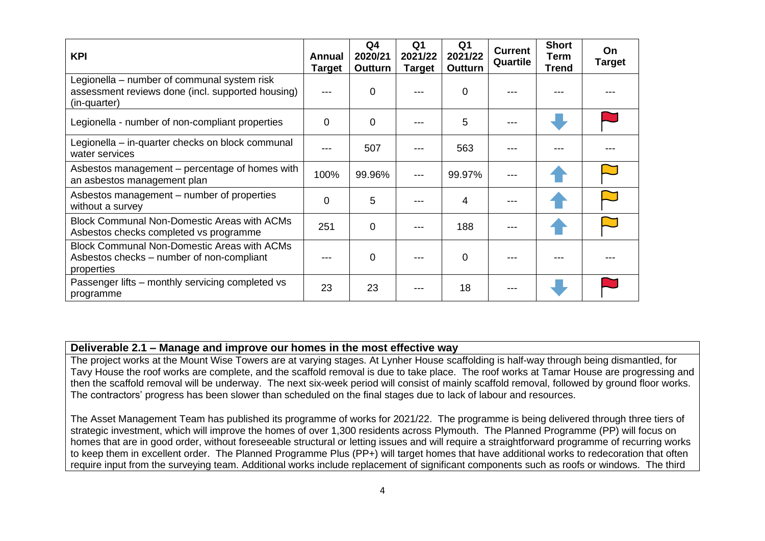| <b>KPI</b><br>Annual                                                                                             |          | Q4<br>2020/21<br>Outturn | Q <sub>1</sub><br>2021/22<br><b>Target</b> | Q <sub>1</sub><br>2021/22<br>Outturn | <b>Current</b><br>Quartile | <b>Short</b><br>Term<br><b>Trend</b> | On.<br><b>Target</b> |
|------------------------------------------------------------------------------------------------------------------|----------|--------------------------|--------------------------------------------|--------------------------------------|----------------------------|--------------------------------------|----------------------|
| Legionella – number of communal system risk<br>assessment reviews done (incl. supported housing)<br>(in-quarter) |          | 0                        |                                            | 0                                    |                            |                                      |                      |
| Legionella - number of non-compliant properties                                                                  |          | 0                        |                                            | 5                                    |                            |                                      |                      |
| Legionella – in-quarter checks on block communal<br>water services                                               |          | 507                      |                                            | 563                                  |                            |                                      |                      |
| Asbestos management – percentage of homes with<br>an asbestos management plan                                    | 100%     | 99.96%                   |                                            | 99.97%                               |                            |                                      |                      |
| Asbestos management – number of properties<br>without a survey                                                   | $\Omega$ | 5                        |                                            | 4                                    |                            |                                      |                      |
| <b>Block Communal Non-Domestic Areas with ACMs</b><br>Asbestos checks completed vs programme                     | 251      | 0                        |                                            | 188                                  |                            |                                      |                      |
| <b>Block Communal Non-Domestic Areas with ACMs</b><br>Asbestos checks – number of non-compliant<br>properties    |          | 0                        |                                            | 0                                    |                            |                                      |                      |
| Passenger lifts – monthly servicing completed vs<br>programme                                                    | 23       | 23                       |                                            | 18                                   |                            |                                      |                      |

#### **Deliverable 2.1 – Manage and improve our homes in the most effective way**

The project works at the Mount Wise Towers are at varying stages. At Lynher House scaffolding is half-way through being dismantled, for Tavy House the roof works are complete, and the scaffold removal is due to take place. The roof works at Tamar House are progressing and then the scaffold removal will be underway. The next six-week period will consist of mainly scaffold removal, followed by ground floor works. The contractors' progress has been slower than scheduled on the final stages due to lack of labour and resources.

The Asset Management Team has published its programme of works for 2021/22. The programme is being delivered through three tiers of strategic investment, which will improve the homes of over 1,300 residents across Plymouth. The Planned Programme (PP) will focus on homes that are in good order, without foreseeable structural or letting issues and will require a straightforward programme of recurring works to keep them in excellent order. The Planned Programme Plus (PP+) will target homes that have additional works to redecoration that often require input from the surveying team. Additional works include replacement of significant components such as roofs or windows. The third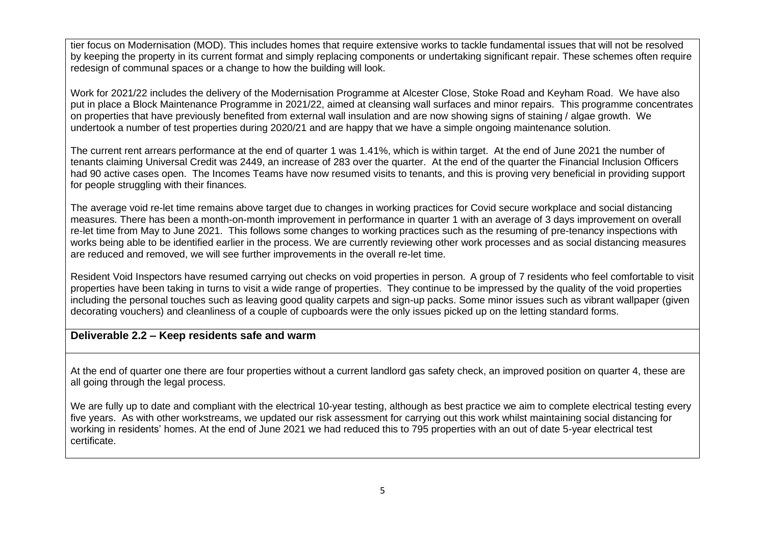tier focus on Modernisation (MOD). This includes homes that require extensive works to tackle fundamental issues that will not be resolved by keeping the property in its current format and simply replacing components or undertaking significant repair. These schemes often require redesign of communal spaces or a change to how the building will look.

Work for 2021/22 includes the delivery of the Modernisation Programme at Alcester Close, Stoke Road and Keyham Road. We have also put in place a Block Maintenance Programme in 2021/22, aimed at cleansing wall surfaces and minor repairs. This programme concentrates on properties that have previously benefited from external wall insulation and are now showing signs of staining / algae growth. We undertook a number of test properties during 2020/21 and are happy that we have a simple ongoing maintenance solution.

The current rent arrears performance at the end of quarter 1 was 1.41%, which is within target. At the end of June 2021 the number of tenants claiming Universal Credit was 2449, an increase of 283 over the quarter. At the end of the quarter the Financial Inclusion Officers had 90 active cases open. The Incomes Teams have now resumed visits to tenants, and this is proving very beneficial in providing support for people struggling with their finances.

The average void re-let time remains above target due to changes in working practices for Covid secure workplace and social distancing measures. There has been a month-on-month improvement in performance in quarter 1 with an average of 3 days improvement on overall re-let time from May to June 2021. This follows some changes to working practices such as the resuming of pre-tenancy inspections with works being able to be identified earlier in the process. We are currently reviewing other work processes and as social distancing measures are reduced and removed, we will see further improvements in the overall re-let time.

Resident Void Inspectors have resumed carrying out checks on void properties in person. A group of 7 residents who feel comfortable to visit properties have been taking in turns to visit a wide range of properties. They continue to be impressed by the quality of the void properties including the personal touches such as leaving good quality carpets and sign-up packs. Some minor issues such as vibrant wallpaper (given decorating vouchers) and cleanliness of a couple of cupboards were the only issues picked up on the letting standard forms.

#### **Deliverable 2.2 – Keep residents safe and warm**

At the end of quarter one there are four properties without a current landlord gas safety check, an improved position on quarter 4, these are all going through the legal process.

We are fully up to date and compliant with the electrical 10-year testing, although as best practice we aim to complete electrical testing every five years. As with other workstreams, we updated our risk assessment for carrying out this work whilst maintaining social distancing for working in residents' homes. At the end of June 2021 we had reduced this to 795 properties with an out of date 5-year electrical test certificate.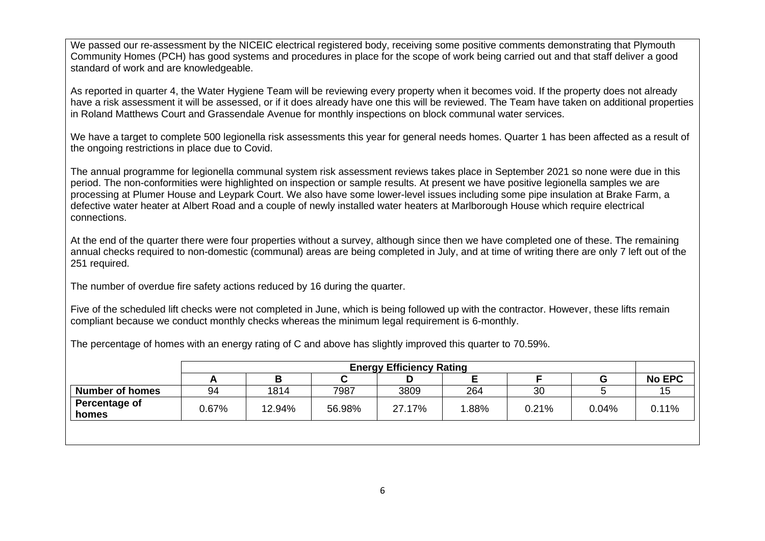We passed our re-assessment by the NICEIC electrical registered body, receiving some positive comments demonstrating that Plymouth Community Homes (PCH) has good systems and procedures in place for the scope of work being carried out and that staff deliver a good standard of work and are knowledgeable.

As reported in quarter 4, the Water Hygiene Team will be reviewing every property when it becomes void. If the property does not already have a risk assessment it will be assessed, or if it does already have one this will be reviewed. The Team have taken on additional properties in Roland Matthews Court and Grassendale Avenue for monthly inspections on block communal water services.

We have a target to complete 500 legionella risk assessments this year for general needs homes. Quarter 1 has been affected as a result of the ongoing restrictions in place due to Covid.

The annual programme for legionella communal system risk assessment reviews takes place in September 2021 so none were due in this period. The non-conformities were highlighted on inspection or sample results. At present we have positive legionella samples we are processing at Plumer House and Leypark Court. We also have some lower-level issues including some pipe insulation at Brake Farm, a defective water heater at Albert Road and a couple of newly installed water heaters at Marlborough House which require electrical connections.

At the end of the quarter there were four properties without a survey, although since then we have completed one of these. The remaining annual checks required to non-domestic (communal) areas are being completed in July, and at time of writing there are only 7 left out of the 251 required.

The number of overdue fire safety actions reduced by 16 during the quarter.

Five of the scheduled lift checks were not completed in June, which is being followed up with the contractor. However, these lifts remain compliant because we conduct monthly checks whereas the minimum legal requirement is 6-monthly.

The percentage of homes with an energy rating of C and above has slightly improved this quarter to 70.59%.

|                        | <b>Energy Efficiency Rating</b> |        |        |        |       |       |       |               |
|------------------------|---------------------------------|--------|--------|--------|-------|-------|-------|---------------|
|                        |                                 |        |        | D      |       |       | G     | <b>No EPC</b> |
| <b>Number of homes</b> | 94                              | 1814   | 7987   | 3809   | 264   | 30    |       | 15            |
| Percentage of          | 0.67%                           | 12.94% | 56.98% | 27.17% | 1.88% | 0.21% | 0.04% | 0.11%         |
| homes                  |                                 |        |        |        |       |       |       |               |
|                        |                                 |        |        |        |       |       |       |               |
|                        |                                 |        |        |        |       |       |       |               |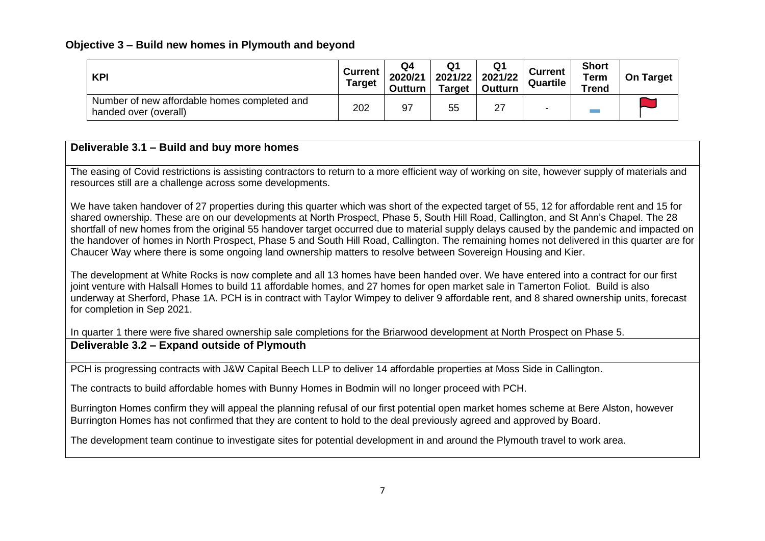## **Objective 3 – Build new homes in Plymouth and beyond**

| <b>KPI</b>                                                            | <b>Current</b><br><b>Target</b> | Q4<br>2020/21<br>Outturn | 2021/22<br><b>Target</b> | Q1<br>2021/22<br>Outturn | <b>Current</b><br>Quartile | <b>Short</b><br>Term<br><b>Trend</b> | On Target |
|-----------------------------------------------------------------------|---------------------------------|--------------------------|--------------------------|--------------------------|----------------------------|--------------------------------------|-----------|
| Number of new affordable homes completed and<br>handed over (overall) |                                 | 97                       | 55                       | 27                       |                            |                                      |           |

# **Deliverable 3.1 – Build and buy more homes**

The easing of Covid restrictions is assisting contractors to return to a more efficient way of working on site, however supply of materials and resources still are a challenge across some developments.

We have taken handover of 27 properties during this quarter which was short of the expected target of 55, 12 for affordable rent and 15 for shared ownership. These are on our developments at North Prospect, Phase 5, South Hill Road, Callington, and St Ann's Chapel. The 28 shortfall of new homes from the original 55 handover target occurred due to material supply delays caused by the pandemic and impacted on the handover of homes in North Prospect, Phase 5 and South Hill Road, Callington. The remaining homes not delivered in this quarter are for Chaucer Way where there is some ongoing land ownership matters to resolve between Sovereign Housing and Kier.

The development at White Rocks is now complete and all 13 homes have been handed over. We have entered into a contract for our first joint venture with Halsall Homes to build 11 affordable homes, and 27 homes for open market sale in Tamerton Foliot. Build is also underway at Sherford, Phase 1A. PCH is in contract with Taylor Wimpey to deliver 9 affordable rent, and 8 shared ownership units, forecast for completion in Sep 2021.

In quarter 1 there were five shared ownership sale completions for the Briarwood development at North Prospect on Phase 5. **Deliverable 3.2 – Expand outside of Plymouth**

PCH is progressing contracts with J&W Capital Beech LLP to deliver 14 affordable properties at Moss Side in Callington.

The contracts to build affordable homes with Bunny Homes in Bodmin will no longer proceed with PCH.

Burrington Homes confirm they will appeal the planning refusal of our first potential open market homes scheme at Bere Alston, however Burrington Homes has not confirmed that they are content to hold to the deal previously agreed and approved by Board.

The development team continue to investigate sites for potential development in and around the Plymouth travel to work area.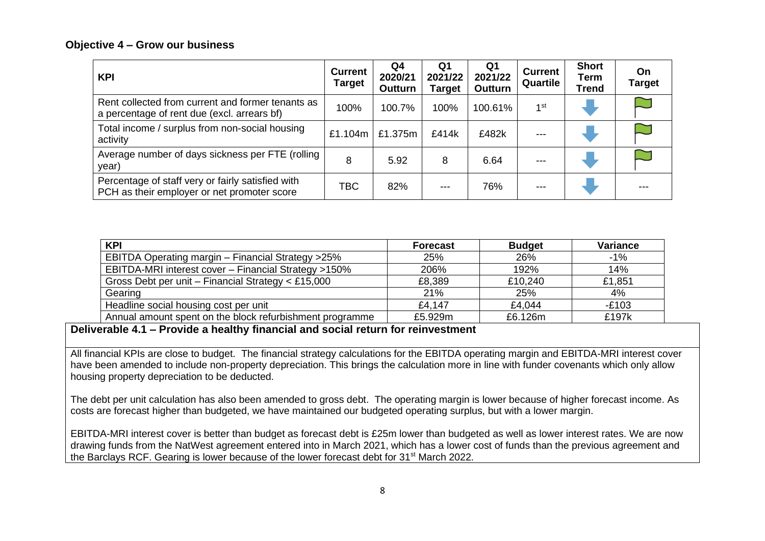#### **Objective 4 – Grow our business**

| <b>KPI</b>                                                                                       | <b>Current</b><br><b>Target</b> | Q4<br>2020/21<br>Outturn | Q1<br>2021/22<br>Target | Q1<br>2021/22<br>Outturn | <b>Current</b><br>Quartile | <b>Short</b><br>Term<br><b>Trend</b> | On<br><b>Target</b> |
|--------------------------------------------------------------------------------------------------|---------------------------------|--------------------------|-------------------------|--------------------------|----------------------------|--------------------------------------|---------------------|
| Rent collected from current and former tenants as<br>a percentage of rent due (excl. arrears bf) | 100%                            | 100.7%                   | 100%                    | 100.61%                  | 1 <sup>st</sup>            |                                      |                     |
| Total income / surplus from non-social housing<br>activity                                       | £1.104m                         | £1.375m                  | £414k                   | £482k                    |                            |                                      |                     |
| Average number of days sickness per FTE (rolling<br>year)                                        | 8                               | 5.92                     | 8                       | 6.64                     |                            |                                      |                     |
| Percentage of staff very or fairly satisfied with<br>PCH as their employer or net promoter score | TBC                             | 82%                      |                         | 76%                      | ---                        |                                      |                     |

| <b>KPI</b>                                                  | <b>Forecast</b> | <b>Budget</b> | Variance |
|-------------------------------------------------------------|-----------------|---------------|----------|
| <b>EBITDA Operating margin - Financial Strategy &gt;25%</b> | 25%             | 26%           | $-1\%$   |
| EBITDA-MRI interest cover - Financial Strategy >150%        | 206%            | 192%          | 14%      |
| Gross Debt per unit - Financial Strategy $\lt$ £15,000      | £8,389          | £10,240       | £1,851   |
| Gearing                                                     | 21%             | 25%           | 4%       |
| Headline social housing cost per unit                       | £4.147          | £4,044        | $-E103$  |
| Annual amount spent on the block refurbishment programme    | £5.929m         | £6.126m       | £197k    |

**Deliverable 4.1 – Provide a healthy financial and social return for reinvestment**

All financial KPIs are close to budget. The financial strategy calculations for the EBITDA operating margin and EBITDA-MRI interest cover have been amended to include non-property depreciation. This brings the calculation more in line with funder covenants which only allow housing property depreciation to be deducted.

The debt per unit calculation has also been amended to gross debt. The operating margin is lower because of higher forecast income. As costs are forecast higher than budgeted, we have maintained our budgeted operating surplus, but with a lower margin.

EBITDA-MRI interest cover is better than budget as forecast debt is £25m lower than budgeted as well as lower interest rates. We are now drawing funds from the NatWest agreement entered into in March 2021, which has a lower cost of funds than the previous agreement and the Barclays RCF. Gearing is lower because of the lower forecast debt for 31<sup>st</sup> March 2022.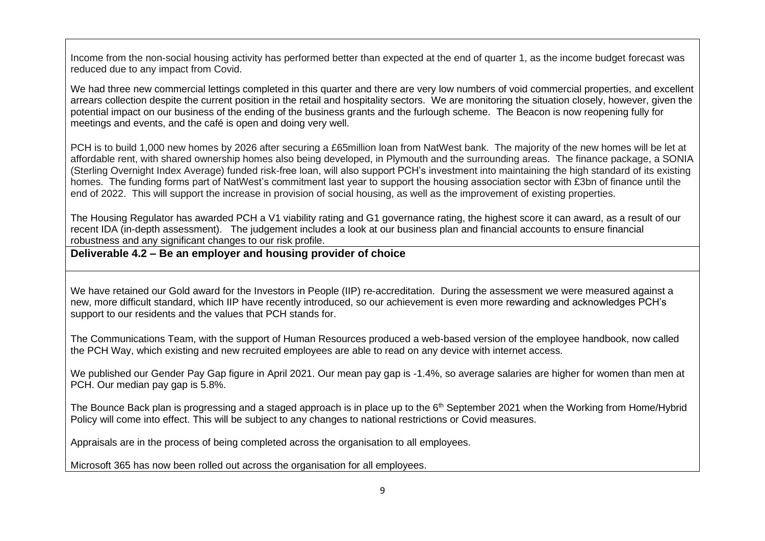Income from the non-social housing activity has performed better than expected at the end of quarter 1, as the income budget forecast was reduced due to any impact from Covid.

We had three new commercial lettings completed in this quarter and there are very low numbers of void commercial properties, and excellent arrears collection despite the current position in the retail and hospitality sectors. We are monitoring the situation closely, however, given the potential impact on our business of the ending of the business grants and the furlough scheme. The Beacon is now reopening fully for meetings and events, and the café is open and doing very well.

PCH is to build 1,000 new homes by 2026 after securing a £65million loan from NatWest bank. The majority of the new homes will be let at affordable rent, with shared ownership homes also being developed, in Plymouth and the surrounding areas. The finance package, a SONIA (Sterling Overnight Index Average) funded risk-free loan, will also support PCH's investment into maintaining the high standard of its existing homes. The funding forms part of NatWest's commitment last year to support the housing association sector with £3bn of finance until the end of 2022. This will support the increase in provision of social housing, as well as the improvement of existing properties.

The Housing Regulator has awarded PCH a V1 viability rating and G1 governance rating, the highest score it can award, as a result of our recent IDA (in-depth assessment). The judgement includes a look at our business plan and financial accounts to ensure financial robustness and any significant changes to our risk profile.

# **Deliverable 4.2 – Be an employer and housing provider of choice**

We have retained our Gold award for the Investors in People (IIP) re-accreditation. During the assessment we were measured against a new, more difficult standard, which IIP have recently introduced, so our achievement is even more rewarding and acknowledges PCH's support to our residents and the values that PCH stands for.

The Communications Team, with the support of Human Resources produced a web-based version of the employee handbook, now called the PCH Way, which existing and new recruited employees are able to read on any device with internet access.

We published our Gender Pay Gap figure in April 2021. Our mean pay gap is -1.4%, so average salaries are higher for women than men at PCH. Our median pay gap is 5.8%.

The Bounce Back plan is progressing and a staged approach is in place up to the 6<sup>th</sup> September 2021 when the Working from Home/Hybrid Policy will come into effect. This will be subject to any changes to national restrictions or Covid measures.

Appraisals are in the process of being completed across the organisation to all employees.

Microsoft 365 has now been rolled out across the organisation for all employees.